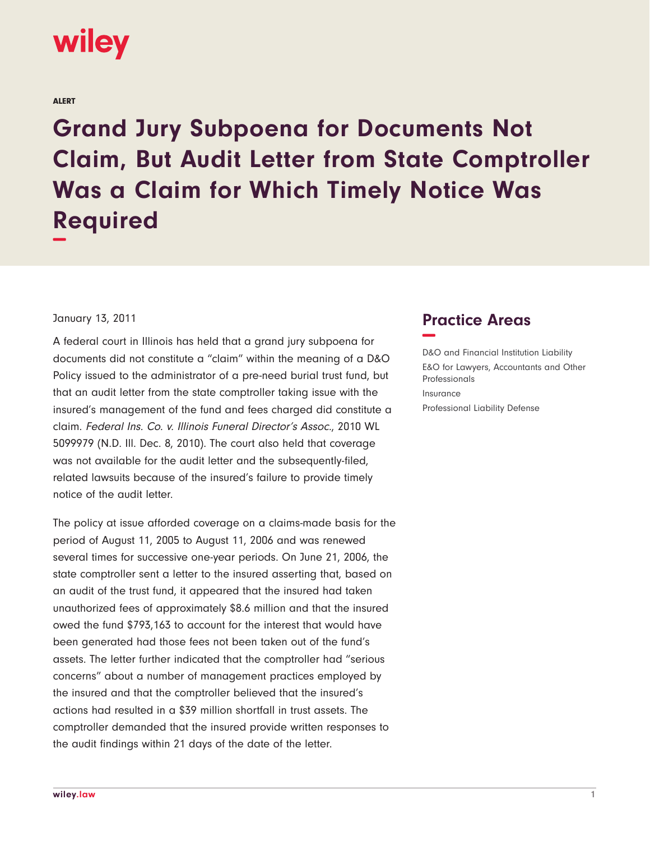

ALERT

**Grand Jury Subpoena for Documents Not Claim, But Audit Letter from State Comptroller Was a Claim for Which Timely Notice Was Required −**

## January 13, 2011

A federal court in Illinois has held that a grand jury subpoena for documents did not constitute a "claim" within the meaning of a D&O Policy issued to the administrator of a pre-need burial trust fund, but that an audit letter from the state comptroller taking issue with the insured's management of the fund and fees charged did constitute a claim. Federal Ins. Co. v. Illinois Funeral Director's Assoc., 2010 WL 5099979 (N.D. Ill. Dec. 8, 2010). The court also held that coverage was not available for the audit letter and the subsequently-filed, related lawsuits because of the insured's failure to provide timely notice of the audit letter.

The policy at issue afforded coverage on a claims-made basis for the period of August 11, 2005 to August 11, 2006 and was renewed several times for successive one-year periods. On June 21, 2006, the state comptroller sent a letter to the insured asserting that, based on an audit of the trust fund, it appeared that the insured had taken unauthorized fees of approximately \$8.6 million and that the insured owed the fund \$793,163 to account for the interest that would have been generated had those fees not been taken out of the fund's assets. The letter further indicated that the comptroller had "serious concerns" about a number of management practices employed by the insured and that the comptroller believed that the insured's actions had resulted in a \$39 million shortfall in trust assets. The comptroller demanded that the insured provide written responses to the audit findings within 21 days of the date of the letter.

## **Practice Areas −**

D&O and Financial Institution Liability E&O for Lawyers, Accountants and Other Professionals Insurance Professional Liability Defense